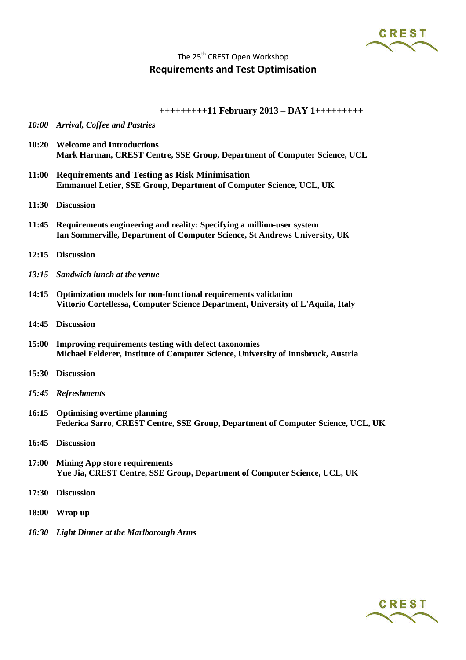CREST

## The 25<sup>th</sup> CREST Open Workshop **Requirements and Test Optimisation**

**+++++++++11 February 2013 – DAY 1+++++++++**

- *10:00 Arrival, Coffee and Pastries*
- **10:20 Welcome and Introductions Mark Harman, CREST Centre, SSE Group, Department of Computer Science, UCL**
- **11:00 Requirements and Testing as Risk Minimisation Emmanuel Letier, SSE Group, Department of Computer Science, UCL, UK**
- **11:30 Discussion**
- **11:45 Requirements engineering and reality: Specifying a million-user system Ian Sommerville, Department of Computer Science, St Andrews University, UK**
- **12:15 Discussion**
- *13:15 Sandwich lunch at the venue*
- **14:15 Optimization models for non-functional requirements validation Vittorio Cortellessa, Computer Science Department, University of L'Aquila, Italy**
- **14:45 Discussion**
- **15:00 Improving requirements testing with defect taxonomies Michael Felderer, Institute of Computer Science, University of Innsbruck, Austria**
- **15:30 Discussion**
- *15:45 Refreshments*
- **16:15 Optimising overtime planning Federica Sarro, CREST Centre, SSE Group, Department of Computer Science, UCL, UK**
- **16:45 Discussion**
- **17:00 Mining App store requirements Yue Jia, CREST Centre, SSE Group, Department of Computer Science, UCL, UK**
- **17:30 Discussion**
- **18:00 Wrap up**
- *18:30 Light Dinner at the Marlborough Arms*